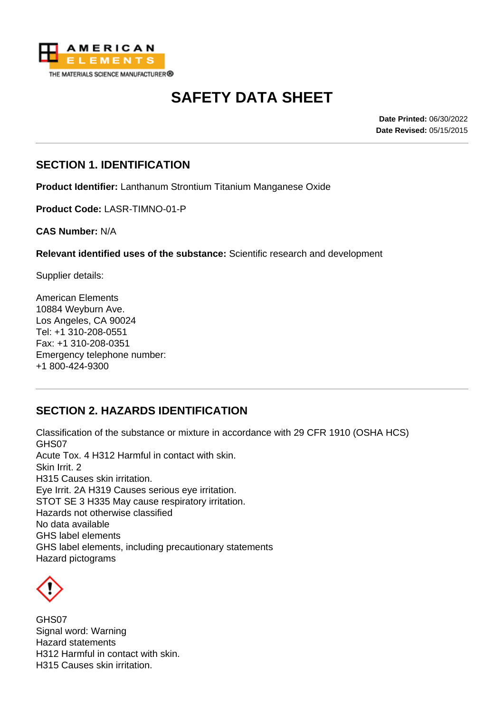

# **SAFETY DATA SHEET**

**Date Printed:** 06/30/2022 **Date Revised:** 05/15/2015

### **SECTION 1. IDENTIFICATION**

**Product Identifier:** Lanthanum Strontium Titanium Manganese Oxide

**Product Code:** LASR-TIMNO-01-P

**CAS Number:** N/A

**Relevant identified uses of the substance:** Scientific research and development

Supplier details:

American Elements 10884 Weyburn Ave. Los Angeles, CA 90024 Tel: +1 310-208-0551 Fax: +1 310-208-0351 Emergency telephone number: +1 800-424-9300

# **SECTION 2. HAZARDS IDENTIFICATION**

Classification of the substance or mixture in accordance with 29 CFR 1910 (OSHA HCS) GHS07 Acute Tox. 4 H312 Harmful in contact with skin. Skin Irrit. 2 H315 Causes skin irritation. Eye Irrit. 2A H319 Causes serious eye irritation. STOT SE 3 H335 May cause respiratory irritation. Hazards not otherwise classified No data available GHS label elements GHS label elements, including precautionary statements Hazard pictograms



GHS07 Signal word: Warning Hazard statements H312 Harmful in contact with skin. H315 Causes skin irritation.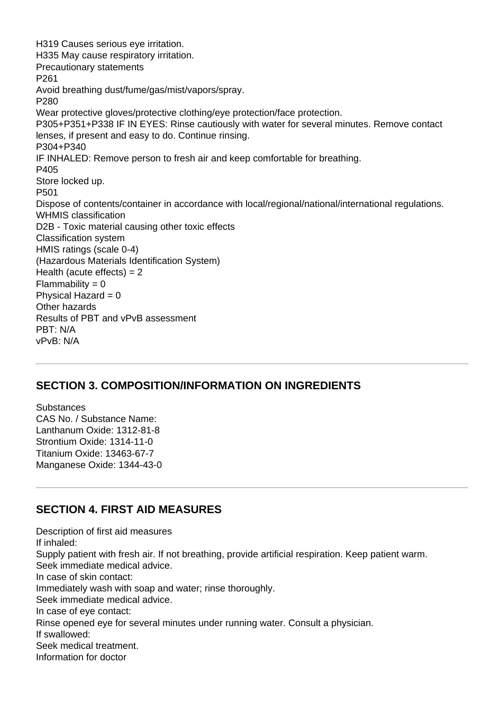H319 Causes serious eye irritation. H335 May cause respiratory irritation. Precautionary statements P261 Avoid breathing dust/fume/gas/mist/vapors/spray. P280 Wear protective gloves/protective clothing/eye protection/face protection. P305+P351+P338 IF IN EYES: Rinse cautiously with water for several minutes. Remove contact lenses, if present and easy to do. Continue rinsing. P304+P340 IF INHALED: Remove person to fresh air and keep comfortable for breathing. P405 Store locked up. P501 Dispose of contents/container in accordance with local/regional/national/international regulations. WHMIS classification D2B - Toxic material causing other toxic effects Classification system HMIS ratings (scale 0-4) (Hazardous Materials Identification System) Health (acute effects)  $= 2$  $Flammability = 0$ Physical Hazard  $= 0$ Other hazards Results of PBT and vPvB assessment PBT: N/A vPvB: N/A

# **SECTION 3. COMPOSITION/INFORMATION ON INGREDIENTS**

**Substances** CAS No. / Substance Name: Lanthanum Oxide: 1312-81-8 Strontium Oxide: 1314-11-0 Titanium Oxide: 13463-67-7 Manganese Oxide: 1344-43-0

#### **SECTION 4. FIRST AID MEASURES**

Description of first aid measures If inhaled: Supply patient with fresh air. If not breathing, provide artificial respiration. Keep patient warm. Seek immediate medical advice. In case of skin contact: Immediately wash with soap and water; rinse thoroughly. Seek immediate medical advice. In case of eye contact: Rinse opened eye for several minutes under running water. Consult a physician. If swallowed: Seek medical treatment. Information for doctor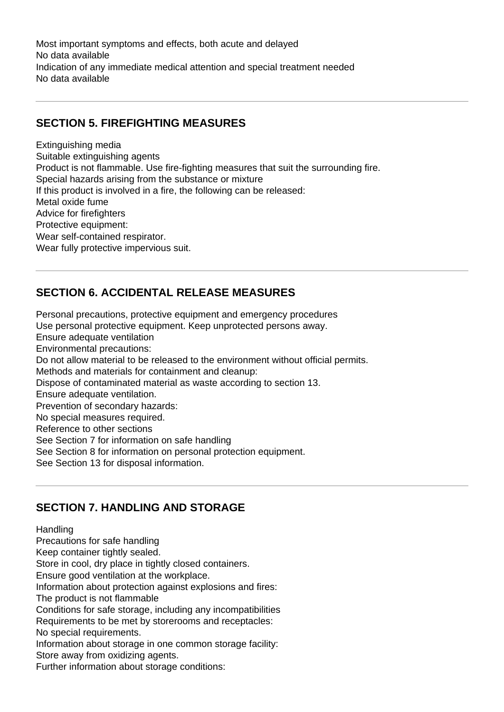Most important symptoms and effects, both acute and delayed No data available Indication of any immediate medical attention and special treatment needed No data available

# **SECTION 5. FIREFIGHTING MEASURES**

Extinguishing media Suitable extinguishing agents Product is not flammable. Use fire-fighting measures that suit the surrounding fire. Special hazards arising from the substance or mixture If this product is involved in a fire, the following can be released: Metal oxide fume Advice for firefighters Protective equipment: Wear self-contained respirator. Wear fully protective impervious suit.

# **SECTION 6. ACCIDENTAL RELEASE MEASURES**

Personal precautions, protective equipment and emergency procedures Use personal protective equipment. Keep unprotected persons away. Ensure adequate ventilation Environmental precautions: Do not allow material to be released to the environment without official permits. Methods and materials for containment and cleanup: Dispose of contaminated material as waste according to section 13. Ensure adequate ventilation. Prevention of secondary hazards: No special measures required. Reference to other sections See Section 7 for information on safe handling See Section 8 for information on personal protection equipment. See Section 13 for disposal information.

# **SECTION 7. HANDLING AND STORAGE**

#### Handling

Precautions for safe handling

Keep container tightly sealed.

Store in cool, dry place in tightly closed containers.

Ensure good ventilation at the workplace.

Information about protection against explosions and fires:

The product is not flammable

Conditions for safe storage, including any incompatibilities

Requirements to be met by storerooms and receptacles:

No special requirements.

Information about storage in one common storage facility:

Store away from oxidizing agents.

Further information about storage conditions: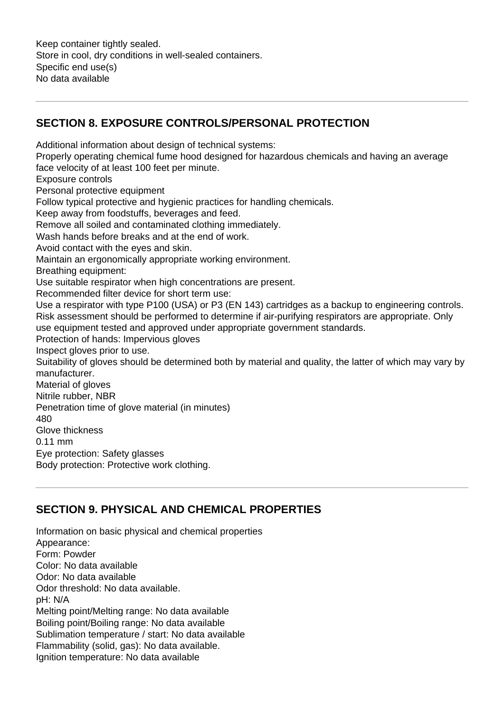Keep container tightly sealed. Store in cool, dry conditions in well-sealed containers. Specific end use(s) No data available

# **SECTION 8. EXPOSURE CONTROLS/PERSONAL PROTECTION**

Additional information about design of technical systems: Properly operating chemical fume hood designed for hazardous chemicals and having an average face velocity of at least 100 feet per minute. Exposure controls Personal protective equipment Follow typical protective and hygienic practices for handling chemicals. Keep away from foodstuffs, beverages and feed. Remove all soiled and contaminated clothing immediately. Wash hands before breaks and at the end of work. Avoid contact with the eyes and skin. Maintain an ergonomically appropriate working environment. Breathing equipment: Use suitable respirator when high concentrations are present. Recommended filter device for short term use: Use a respirator with type P100 (USA) or P3 (EN 143) cartridges as a backup to engineering controls. Risk assessment should be performed to determine if air-purifying respirators are appropriate. Only use equipment tested and approved under appropriate government standards. Protection of hands: Impervious gloves Inspect gloves prior to use. Suitability of gloves should be determined both by material and quality, the latter of which may vary by manufacturer. Material of gloves Nitrile rubber, NBR Penetration time of glove material (in minutes) 480 Glove thickness 0.11 mm Eye protection: Safety glasses Body protection: Protective work clothing.

# **SECTION 9. PHYSICAL AND CHEMICAL PROPERTIES**

Information on basic physical and chemical properties Appearance: Form: Powder Color: No data available Odor: No data available Odor threshold: No data available. pH: N/A Melting point/Melting range: No data available Boiling point/Boiling range: No data available Sublimation temperature / start: No data available Flammability (solid, gas): No data available. Ignition temperature: No data available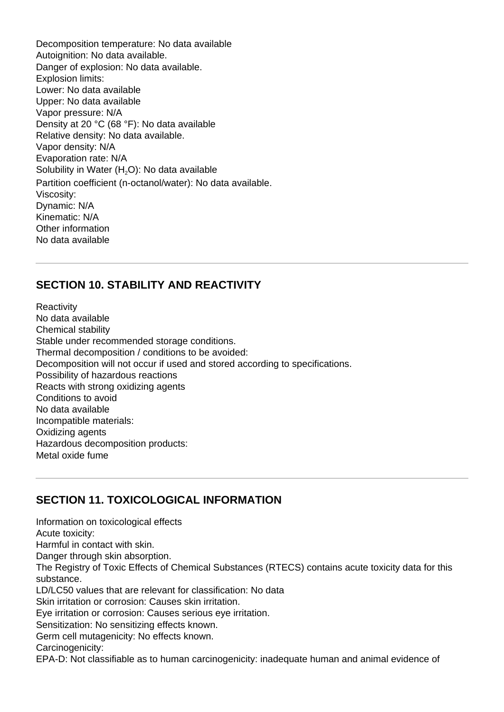Decomposition temperature: No data available Autoignition: No data available. Danger of explosion: No data available. Explosion limits: Lower: No data available Upper: No data available Vapor pressure: N/A Density at 20 °C (68 °F): No data available Relative density: No data available. Vapor density: N/A Evaporation rate: N/A Solubility in Water  $(H<sub>2</sub>O)$ : No data available Partition coefficient (n-octanol/water): No data available. Viscosity: Dynamic: N/A Kinematic: N/A Other information No data available

# **SECTION 10. STABILITY AND REACTIVITY**

**Reactivity** No data available Chemical stability Stable under recommended storage conditions. Thermal decomposition / conditions to be avoided: Decomposition will not occur if used and stored according to specifications. Possibility of hazardous reactions Reacts with strong oxidizing agents Conditions to avoid No data available Incompatible materials: Oxidizing agents Hazardous decomposition products: Metal oxide fume

# **SECTION 11. TOXICOLOGICAL INFORMATION**

Information on toxicological effects Acute toxicity: Harmful in contact with skin. Danger through skin absorption. The Registry of Toxic Effects of Chemical Substances (RTECS) contains acute toxicity data for this substance. LD/LC50 values that are relevant for classification: No data Skin irritation or corrosion: Causes skin irritation. Eye irritation or corrosion: Causes serious eye irritation. Sensitization: No sensitizing effects known. Germ cell mutagenicity: No effects known. Carcinogenicity:

EPA-D: Not classifiable as to human carcinogenicity: inadequate human and animal evidence of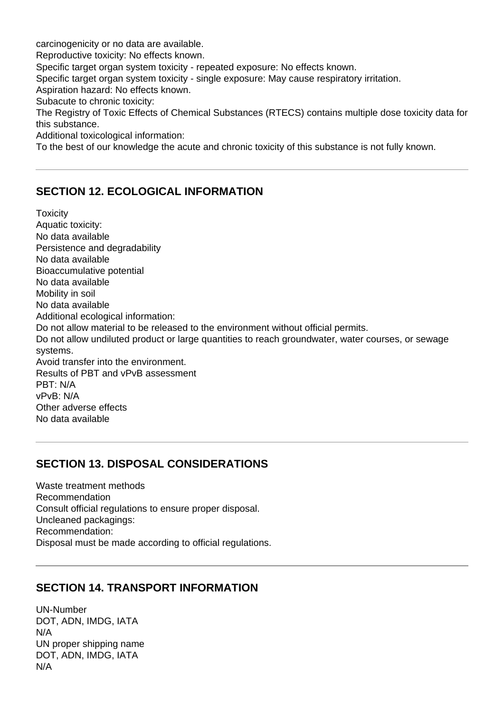carcinogenicity or no data are available.

Reproductive toxicity: No effects known.

Specific target organ system toxicity - repeated exposure: No effects known.

Specific target organ system toxicity - single exposure: May cause respiratory irritation.

Aspiration hazard: No effects known.

Subacute to chronic toxicity:

The Registry of Toxic Effects of Chemical Substances (RTECS) contains multiple dose toxicity data for this substance.

Additional toxicological information:

To the best of our knowledge the acute and chronic toxicity of this substance is not fully known.

#### **SECTION 12. ECOLOGICAL INFORMATION**

**Toxicity** Aquatic toxicity: No data available Persistence and degradability No data available Bioaccumulative potential No data available Mobility in soil No data available Additional ecological information: Do not allow material to be released to the environment without official permits. Do not allow undiluted product or large quantities to reach groundwater, water courses, or sewage systems. Avoid transfer into the environment. Results of PBT and vPvB assessment PBT: N/A vPvB: N/A Other adverse effects No data available

#### **SECTION 13. DISPOSAL CONSIDERATIONS**

Waste treatment methods Recommendation Consult official regulations to ensure proper disposal. Uncleaned packagings: Recommendation: Disposal must be made according to official regulations.

#### **SECTION 14. TRANSPORT INFORMATION**

UN-Number DOT, ADN, IMDG, IATA N/A UN proper shipping name DOT, ADN, IMDG, IATA N/A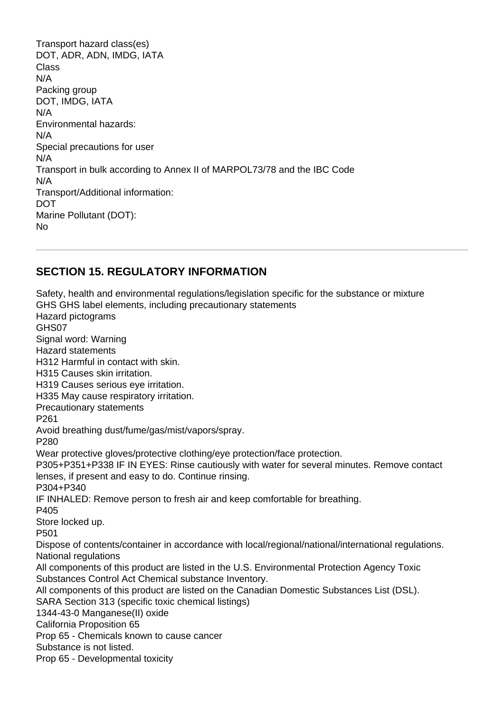Transport hazard class(es) DOT, ADR, ADN, IMDG, IATA Class N/A Packing group DOT, IMDG, IATA N/A Environmental hazards: N/A Special precautions for user N/A Transport in bulk according to Annex II of MARPOL73/78 and the IBC Code N/A Transport/Additional information: DOT Marine Pollutant (DOT): No

# **SECTION 15. REGULATORY INFORMATION**

Safety, health and environmental regulations/legislation specific for the substance or mixture GHS GHS label elements, including precautionary statements Hazard pictograms GHS07 Signal word: Warning Hazard statements H312 Harmful in contact with skin. H315 Causes skin irritation. H319 Causes serious eye irritation. H335 May cause respiratory irritation. Precautionary statements P261 Avoid breathing dust/fume/gas/mist/vapors/spray. P280 Wear protective gloves/protective clothing/eye protection/face protection. P305+P351+P338 IF IN EYES: Rinse cautiously with water for several minutes. Remove contact lenses, if present and easy to do. Continue rinsing. P304+P340 IF INHALED: Remove person to fresh air and keep comfortable for breathing. P405 Store locked up. P501 Dispose of contents/container in accordance with local/regional/national/international regulations. National regulations All components of this product are listed in the U.S. Environmental Protection Agency Toxic Substances Control Act Chemical substance Inventory. All components of this product are listed on the Canadian Domestic Substances List (DSL). SARA Section 313 (specific toxic chemical listings) 1344-43-0 Manganese(II) oxide California Proposition 65 Prop 65 - Chemicals known to cause cancer Substance is not listed. Prop 65 - Developmental toxicity